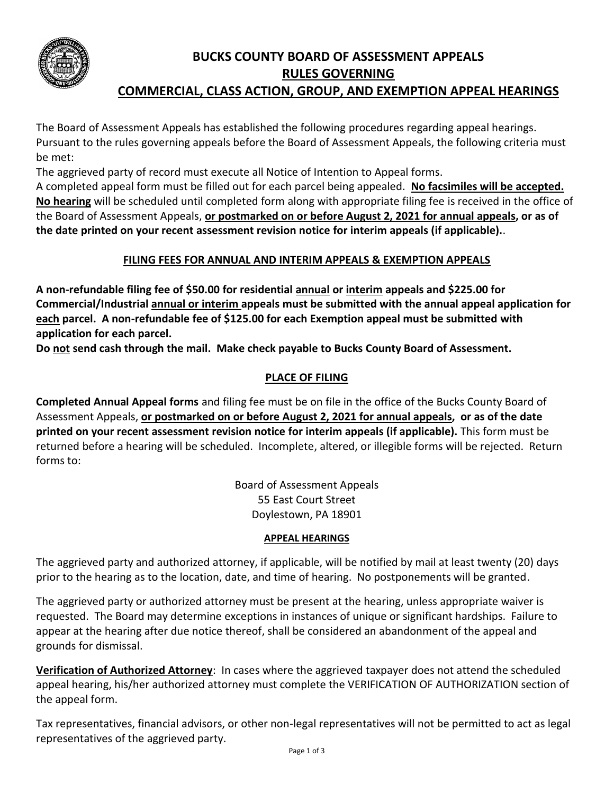

# **BUCKS COUNTY BOARD OF ASSESSMENT APPEALS RULES GOVERNING COMMERCIAL, CLASS ACTION, GROUP, AND EXEMPTION APPEAL HEARINGS**

The Board of Assessment Appeals has established the following procedures regarding appeal hearings. Pursuant to the rules governing appeals before the Board of Assessment Appeals, the following criteria must be met:

The aggrieved party of record must execute all Notice of Intention to Appeal forms.

A completed appeal form must be filled out for each parcel being appealed. **No facsimiles will be accepted. No hearing** will be scheduled until completed form along with appropriate filing fee is received in the office of the Board of Assessment Appeals, **or postmarked on or before August 2, 2021 for annual appeals, or as of the date printed on your recent assessment revision notice for interim appeals (if applicable).**.

# **FILING FEES FOR ANNUAL AND INTERIM APPEALS & EXEMPTION APPEALS**

**A non-refundable filing fee of \$50.00 for residential annual or interim appeals and \$225.00 for Commercial/Industrial annual or interim appeals must be submitted with the annual appeal application for each parcel. A non-refundable fee of \$125.00 for each Exemption appeal must be submitted with application for each parcel.**

**Do not send cash through the mail. Make check payable to Bucks County Board of Assessment.**

# **PLACE OF FILING**

**Completed Annual Appeal forms** and filing fee must be on file in the office of the Bucks County Board of Assessment Appeals, **or postmarked on or before August 2, 2021 for annual appeals, or as of the date printed on your recent assessment revision notice for interim appeals (if applicable).** This form must be returned before a hearing will be scheduled. Incomplete, altered, or illegible forms will be rejected. Return forms to:

> Board of Assessment Appeals 55 East Court Street Doylestown, PA 18901

## **APPEAL HEARINGS**

The aggrieved party and authorized attorney, if applicable, will be notified by mail at least twenty (20) days prior to the hearing as to the location, date, and time of hearing. No postponements will be granted.

The aggrieved party or authorized attorney must be present at the hearing, unless appropriate waiver is requested. The Board may determine exceptions in instances of unique or significant hardships. Failure to appear at the hearing after due notice thereof, shall be considered an abandonment of the appeal and grounds for dismissal.

**Verification of Authorized Attorney**: In cases where the aggrieved taxpayer does not attend the scheduled appeal hearing, his/her authorized attorney must complete the VERIFICATION OF AUTHORIZATION section of the appeal form.

Tax representatives, financial advisors, or other non-legal representatives will not be permitted to act as legal representatives of the aggrieved party.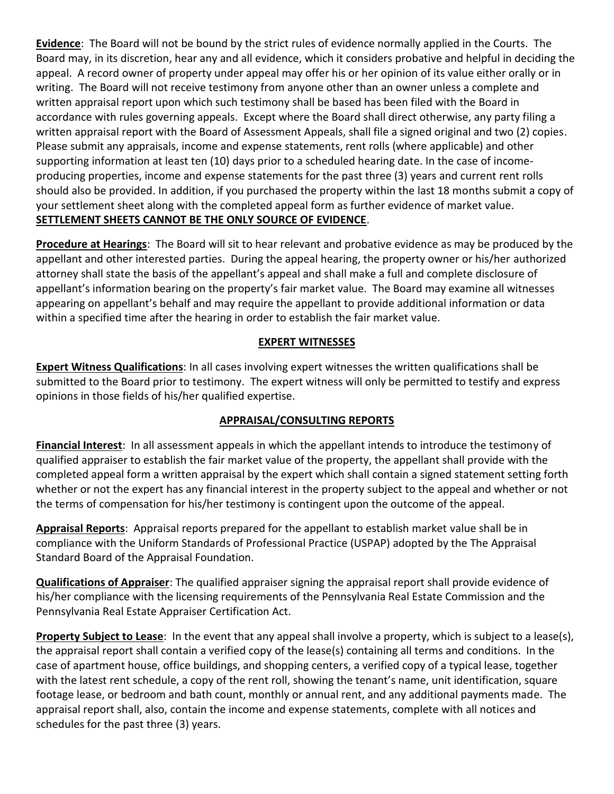**Evidence**: The Board will not be bound by the strict rules of evidence normally applied in the Courts. The Board may, in its discretion, hear any and all evidence, which it considers probative and helpful in deciding the appeal. A record owner of property under appeal may offer his or her opinion of its value either orally or in writing. The Board will not receive testimony from anyone other than an owner unless a complete and written appraisal report upon which such testimony shall be based has been filed with the Board in accordance with rules governing appeals. Except where the Board shall direct otherwise, any party filing a written appraisal report with the Board of Assessment Appeals, shall file a signed original and two (2) copies. Please submit any appraisals, income and expense statements, rent rolls (where applicable) and other supporting information at least ten (10) days prior to a scheduled hearing date. In the case of incomeproducing properties, income and expense statements for the past three (3) years and current rent rolls should also be provided. In addition, if you purchased the property within the last 18 months submit a copy of your settlement sheet along with the completed appeal form as further evidence of market value. **SETTLEMENT SHEETS CANNOT BE THE ONLY SOURCE OF EVIDENCE**.

**Procedure at Hearings**: The Board will sit to hear relevant and probative evidence as may be produced by the appellant and other interested parties. During the appeal hearing, the property owner or his/her authorized attorney shall state the basis of the appellant's appeal and shall make a full and complete disclosure of appellant's information bearing on the property's fair market value. The Board may examine all witnesses appearing on appellant's behalf and may require the appellant to provide additional information or data within a specified time after the hearing in order to establish the fair market value.

## **EXPERT WITNESSES**

**Expert Witness Qualifications**: In all cases involving expert witnesses the written qualifications shall be submitted to the Board prior to testimony. The expert witness will only be permitted to testify and express opinions in those fields of his/her qualified expertise.

## **APPRAISAL/CONSULTING REPORTS**

**Financial Interest**: In all assessment appeals in which the appellant intends to introduce the testimony of qualified appraiser to establish the fair market value of the property, the appellant shall provide with the completed appeal form a written appraisal by the expert which shall contain a signed statement setting forth whether or not the expert has any financial interest in the property subject to the appeal and whether or not the terms of compensation for his/her testimony is contingent upon the outcome of the appeal.

**Appraisal Reports**: Appraisal reports prepared for the appellant to establish market value shall be in compliance with the Uniform Standards of Professional Practice (USPAP) adopted by the The Appraisal Standard Board of the Appraisal Foundation.

**Qualifications of Appraiser**: The qualified appraiser signing the appraisal report shall provide evidence of his/her compliance with the licensing requirements of the Pennsylvania Real Estate Commission and the Pennsylvania Real Estate Appraiser Certification Act.

**Property Subject to Lease**: In the event that any appeal shall involve a property, which is subject to a lease(s), the appraisal report shall contain a verified copy of the lease(s) containing all terms and conditions. In the case of apartment house, office buildings, and shopping centers, a verified copy of a typical lease, together with the latest rent schedule, a copy of the rent roll, showing the tenant's name, unit identification, square footage lease, or bedroom and bath count, monthly or annual rent, and any additional payments made. The appraisal report shall, also, contain the income and expense statements, complete with all notices and schedules for the past three (3) years.